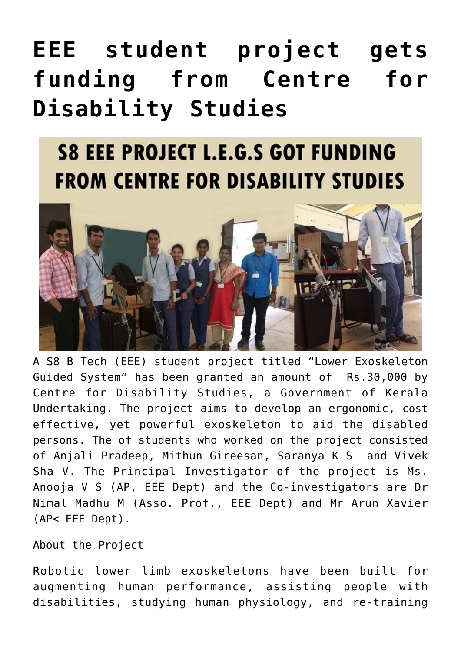## **[EEE student project gets](https://news.vidyaacademy.ac.in/2018/06/06/eee-student-project-gets-funding-from-centre-for-disability-studies/) [funding from Centre for](https://news.vidyaacademy.ac.in/2018/06/06/eee-student-project-gets-funding-from-centre-for-disability-studies/) [Disability Studies](https://news.vidyaacademy.ac.in/2018/06/06/eee-student-project-gets-funding-from-centre-for-disability-studies/)**

## **S8 EEE PROJECT L.E.G.S GOT FUNDING FROM CENTRE FOR DISABILITY STUDIES**



A S8 B Tech (EEE) student project titled "Lower Exoskeleton Guided System" has been granted an amount of Rs.30,000 by Centre for Disability Studies, a Government of Kerala Undertaking. The project aims to develop an ergonomic, cost effective, yet powerful exoskeleton to aid the disabled persons. The of students who worked on the project consisted of Anjali Pradeep, Mithun Gireesan, Saranya K S and Vivek Sha V. The Principal Investigator of the project is Ms. Anooja V S (AP, EEE Dept) and the Co-investigators are Dr Nimal Madhu M (Asso. Prof., EEE Dept) and Mr Arun Xavier (AP< EEE Dept).

About the Project

Robotic lower limb exoskeletons have been built for augmenting human performance, assisting people with disabilities, studying human physiology, and re-training